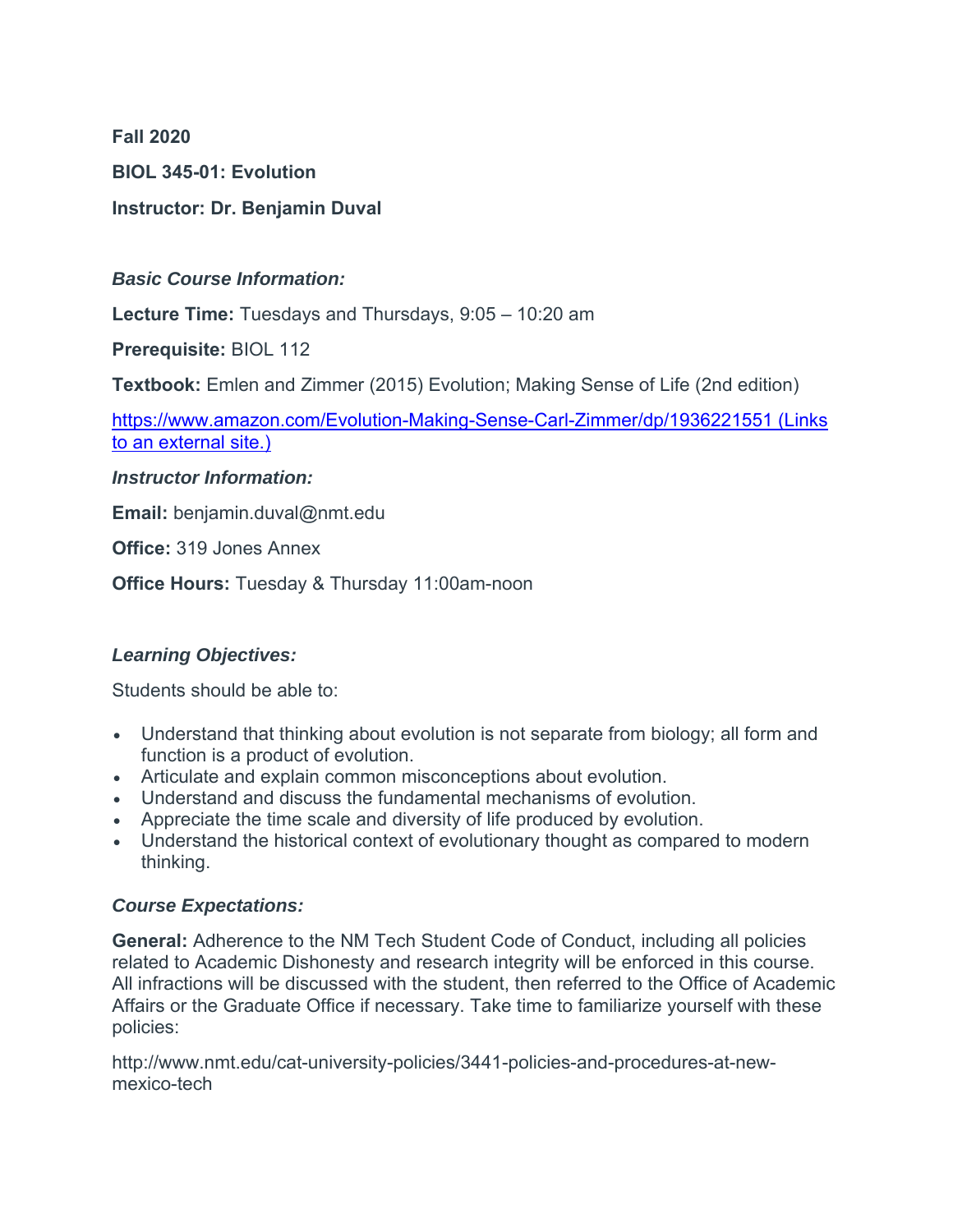**Fall 2020**

**BIOL 345-01: Evolution**

# **Instructor: Dr. Benjamin Duval**

#### *Basic Course Information:*

**Lecture Time:** Tuesdays and Thursdays, 9:05 – 10:20 am

**Prerequisite:** BIOL 112

**Textbook:** Emlen and Zimmer (2015) Evolution; Making Sense of Life (2nd edition)

https://www.amazon.com/Evolution-Making-Sense-Carl-Zimmer/dp/1936221551 (Links to an external site.)

#### *Instructor Information:*

**Email:** benjamin.duval@nmt.edu

**Office:** 319 Jones Annex

**Office Hours:** Tuesday & Thursday 11:00am-noon

# *Learning Objectives:*

Students should be able to:

- Understand that thinking about evolution is not separate from biology; all form and function is a product of evolution.
- Articulate and explain common misconceptions about evolution.
- Understand and discuss the fundamental mechanisms of evolution.
- Appreciate the time scale and diversity of life produced by evolution.
- Understand the historical context of evolutionary thought as compared to modern thinking.

# *Course Expectations:*

**General:** Adherence to the NM Tech Student Code of Conduct, including all policies related to Academic Dishonesty and research integrity will be enforced in this course. All infractions will be discussed with the student, then referred to the Office of Academic Affairs or the Graduate Office if necessary. Take time to familiarize yourself with these policies:

http://www.nmt.edu/cat-university-policies/3441-policies-and-procedures-at-newmexico-tech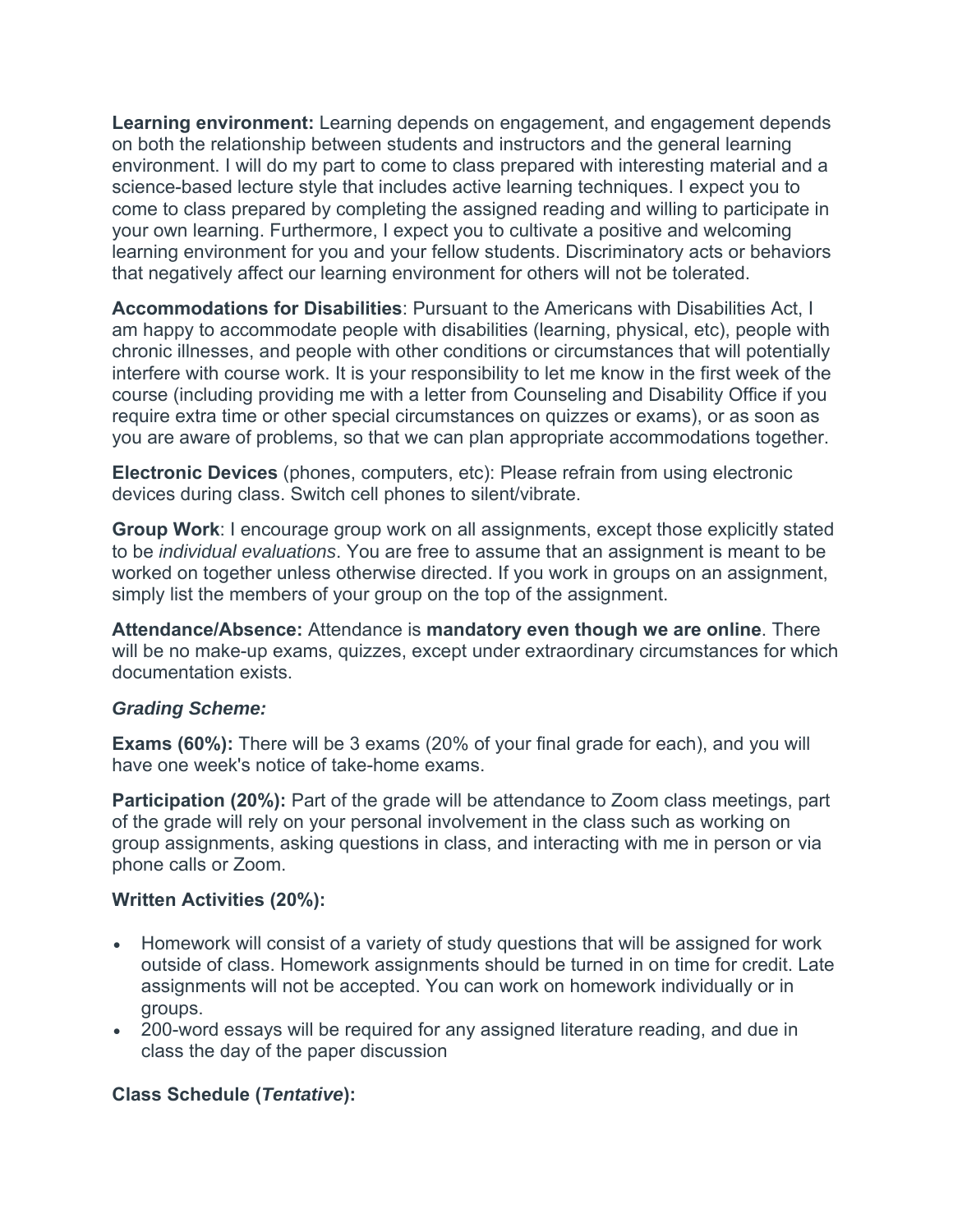**Learning environment:** Learning depends on engagement, and engagement depends on both the relationship between students and instructors and the general learning environment. I will do my part to come to class prepared with interesting material and a science-based lecture style that includes active learning techniques. I expect you to come to class prepared by completing the assigned reading and willing to participate in your own learning. Furthermore, I expect you to cultivate a positive and welcoming learning environment for you and your fellow students. Discriminatory acts or behaviors that negatively affect our learning environment for others will not be tolerated.

**Accommodations for Disabilities**: Pursuant to the Americans with Disabilities Act, I am happy to accommodate people with disabilities (learning, physical, etc), people with chronic illnesses, and people with other conditions or circumstances that will potentially interfere with course work. It is your responsibility to let me know in the first week of the course (including providing me with a letter from Counseling and Disability Office if you require extra time or other special circumstances on quizzes or exams), or as soon as you are aware of problems, so that we can plan appropriate accommodations together.

**Electronic Devices** (phones, computers, etc): Please refrain from using electronic devices during class. Switch cell phones to silent/vibrate.

**Group Work**: I encourage group work on all assignments, except those explicitly stated to be *individual evaluations*. You are free to assume that an assignment is meant to be worked on together unless otherwise directed. If you work in groups on an assignment, simply list the members of your group on the top of the assignment.

**Attendance/Absence:** Attendance is **mandatory even though we are online**. There will be no make-up exams, quizzes, except under extraordinary circumstances for which documentation exists.

#### *Grading Scheme:*

**Exams (60%):** There will be 3 exams (20% of your final grade for each), and you will have one week's notice of take-home exams.

**Participation (20%):** Part of the grade will be attendance to Zoom class meetings, part of the grade will rely on your personal involvement in the class such as working on group assignments, asking questions in class, and interacting with me in person or via phone calls or Zoom.

#### **Written Activities (20%):**

- Homework will consist of a variety of study questions that will be assigned for work outside of class. Homework assignments should be turned in on time for credit. Late assignments will not be accepted. You can work on homework individually or in groups.
- 200-word essays will be required for any assigned literature reading, and due in class the day of the paper discussion

# **Class Schedule (***Tentative***):**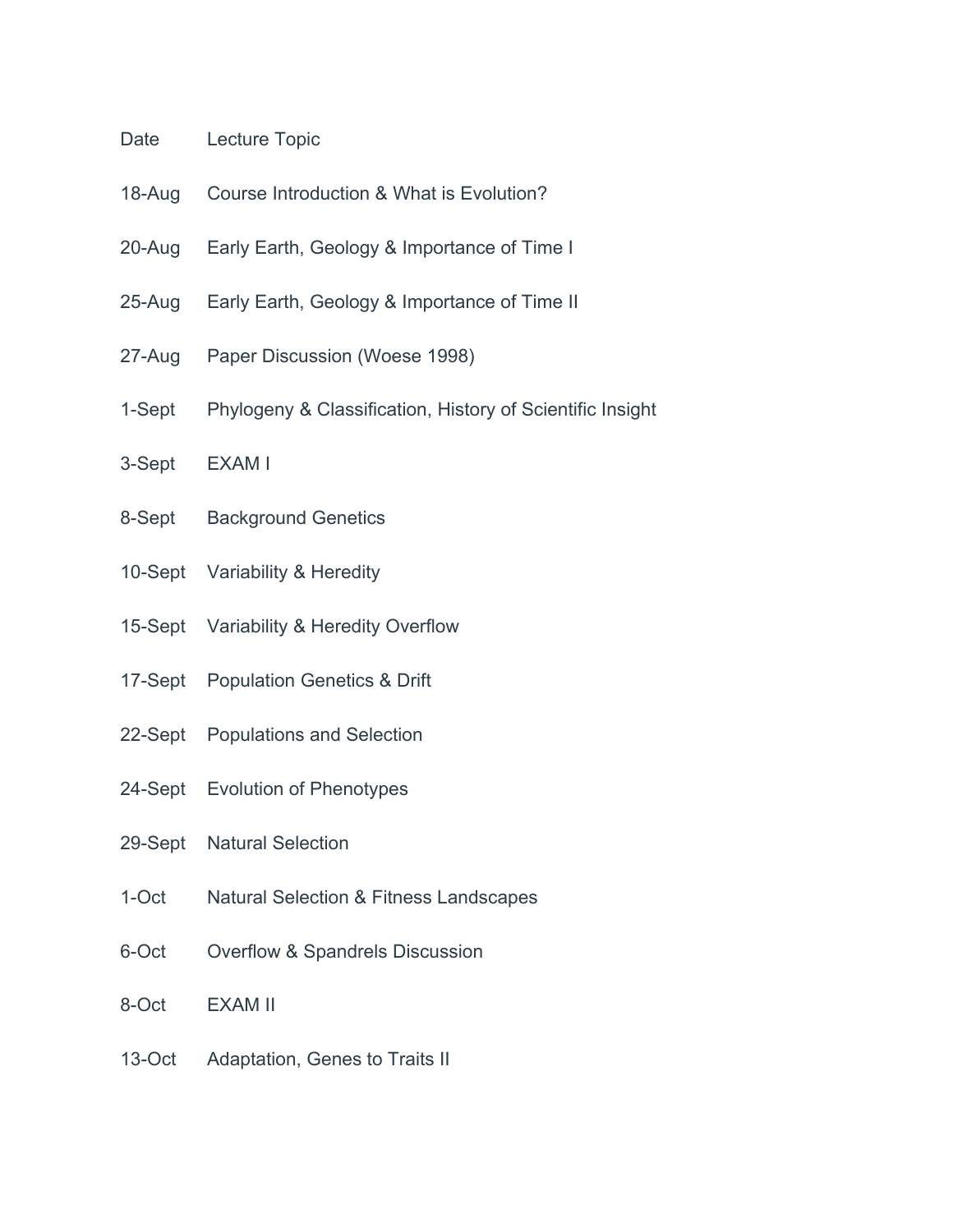### Date Lecture Topic

- 18-Aug Course Introduction & What is Evolution?
- 20-Aug Early Earth, Geology & Importance of Time I
- 25-Aug Early Earth, Geology & Importance of Time II
- 27-Aug Paper Discussion (Woese 1998)
- 1-Sept Phylogeny & Classification, History of Scientific Insight
- 3-Sept EXAM I
- 8-Sept Background Genetics
- 10-Sept Variability & Heredity
- 15-Sept Variability & Heredity Overflow
- 17-Sept Population Genetics & Drift
- 22-Sept Populations and Selection
- 24-Sept Evolution of Phenotypes
- 29-Sept Natural Selection
- 1-Oct Natural Selection & Fitness Landscapes
- 6-Oct Overflow & Spandrels Discussion
- 8-Oct EXAM II
- 13-Oct Adaptation, Genes to Traits II